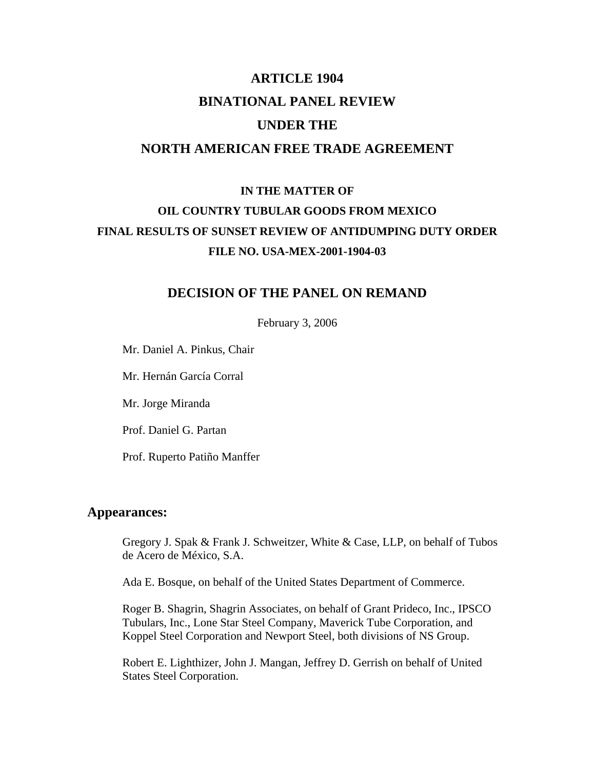# **ARTICLE 1904 BINATIONAL PANEL REVIEW UNDER THE NORTH AMERICAN FREE TRADE AGREEMENT**

# **IN THE MATTER OF OIL COUNTRY TUBULAR GOODS FROM MEXICO FINAL RESULTS OF SUNSET REVIEW OF ANTIDUMPING DUTY ORDER FILE NO. USA-MEX-2001-1904-03**

# **DECISION OF THE PANEL ON REMAND**

February 3, 2006

Mr. Daniel A. Pinkus, Chair

Mr. Hernán García Corral

Mr. Jorge Miranda

Prof. Daniel G. Partan

Prof. Ruperto Patiño Manffer

# **Appearances:**

Gregory J. Spak & Frank J. Schweitzer, White & Case, LLP, on behalf of Tubos de Acero de México, S.A.

Ada E. Bosque, on behalf of the United States Department of Commerce.

 Roger B. Shagrin, Shagrin Associates, on behalf of Grant Prideco, Inc., IPSCO Tubulars, Inc., Lone Star Steel Company, Maverick Tube Corporation, and Koppel Steel Corporation and Newport Steel, both divisions of NS Group.

Robert E. Lighthizer, John J. Mangan, Jeffrey D. Gerrish on behalf of United States Steel Corporation.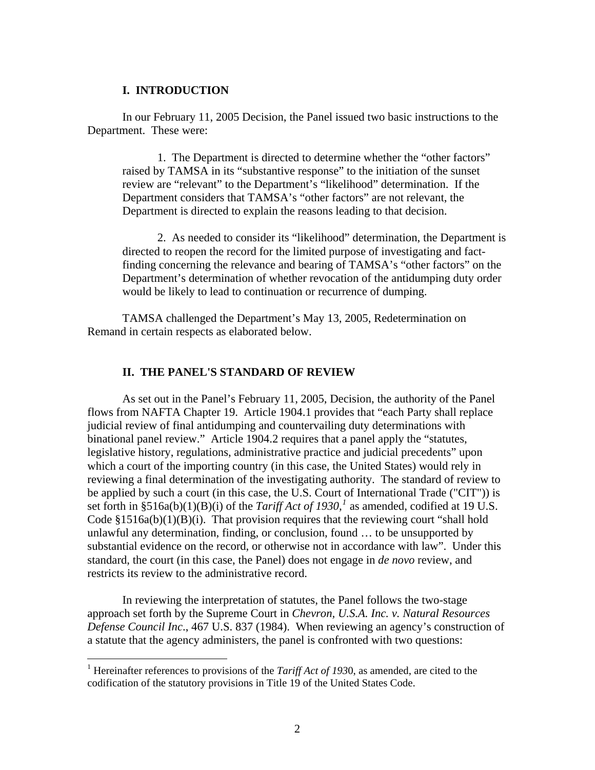### **I. INTRODUCTION**

 In our February 11, 2005 Decision, the Panel issued two basic instructions to the Department. These were:

 1. The Department is directed to determine whether the "other factors" raised by TAMSA in its "substantive response" to the initiation of the sunset review are "relevant" to the Department's "likelihood" determination. If the Department considers that TAMSA's "other factors" are not relevant, the Department is directed to explain the reasons leading to that decision.

2. As needed to consider its "likelihood" determination, the Department is directed to reopen the record for the limited purpose of investigating and factfinding concerning the relevance and bearing of TAMSA's "other factors" on the Department's determination of whether revocation of the antidumping duty order would be likely to lead to continuation or recurrence of dumping.

 TAMSA challenged the Department's May 13, 2005, Redetermination on Remand in certain respects as elaborated below.

#### **II. THE PANEL'S STANDARD OF REVIEW**

 As set out in the Panel's February 11, 2005, Decision, the authority of the Panel flows from NAFTA Chapter 19. Article 1904.1 provides that "each Party shall replace judicial review of final antidumping and countervailing duty determinations with binational panel review." Article 1904.2 requires that a panel apply the "statutes, legislative history, regulations, administrative practice and judicial precedents" upon which a court of the importing country (in this case, the United States) would rely in reviewing a final determination of the investigating authority. The standard of review to be applied by such a court (in this case, the U.S. Court of International Trade ("CIT")) is set forth in §5[1](#page-1-0)6a(b)(1)(B)(i) of the *Tariff Act of 1930*,<sup>*1*</sup> as amended, codified at 19 U.S. Code  $$1516a(b)(1)(B)(i)$ . That provision requires that the reviewing court "shall hold unlawful any determination, finding, or conclusion, found … to be unsupported by substantial evidence on the record, or otherwise not in accordance with law". Under this standard, the court (in this case, the Panel) does not engage in *de novo* review, and restricts its review to the administrative record.

 In reviewing the interpretation of statutes, the Panel follows the two-stage approach set forth by the Supreme Court in *Chevron, U.S.A. Inc. v. Natural Resources Defense Council Inc*., 467 U.S. 837 (1984). When reviewing an agency's construction of a statute that the agency administers, the panel is confronted with two questions:

<span id="page-1-0"></span><sup>&</sup>lt;sup>1</sup> Hereinafter references to provisions of the *Tariff Act of 1930*, as amended, are cited to the codification of the statutory provisions in Title 19 of the United States Code.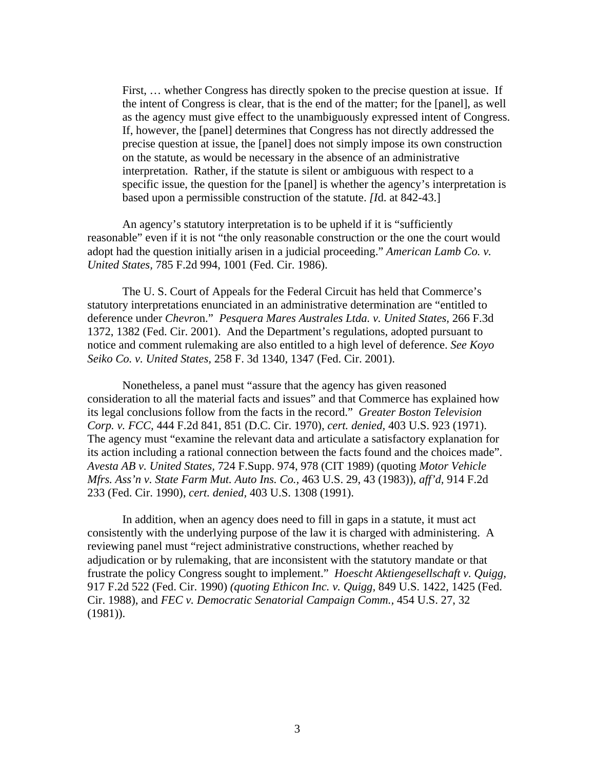First, … whether Congress has directly spoken to the precise question at issue. If the intent of Congress is clear, that is the end of the matter; for the [panel], as well as the agency must give effect to the unambiguously expressed intent of Congress. If, however, the [panel] determines that Congress has not directly addressed the precise question at issue, the [panel] does not simply impose its own construction on the statute, as would be necessary in the absence of an administrative interpretation. Rather, if the statute is silent or ambiguous with respect to a specific issue, the question for the [panel] is whether the agency's interpretation is based upon a permissible construction of the statute. *[I*d. at 842-43.]

 An agency's statutory interpretation is to be upheld if it is "sufficiently reasonable" even if it is not "the only reasonable construction or the one the court would adopt had the question initially arisen in a judicial proceeding." *American Lamb Co. v. United States,* 785 F.2d 994, 1001 (Fed. Cir. 1986).

The U. S. Court of Appeals for the Federal Circuit has held that Commerce's statutory interpretations enunciated in an administrative determination are "entitled to deference under *Chevro*n." *Pesquera Mares Australes Ltda. v. United States,* 266 F.3d 1372, 1382 (Fed. Cir. 2001). And the Department's regulations, adopted pursuant to notice and comment rulemaking are also entitled to a high level of deference. *See Koyo Seiko Co. v. United States,* 258 F. 3d 1340, 1347 (Fed. Cir. 2001).

Nonetheless, a panel must "assure that the agency has given reasoned consideration to all the material facts and issues" and that Commerce has explained how its legal conclusions follow from the facts in the record." *Greater Boston Television Corp. v. FCC,* 444 F.2d 841, 851 (D.C. Cir. 1970), *cert. denied,* 403 U.S. 923 (1971). The agency must "examine the relevant data and articulate a satisfactory explanation for its action including a rational connection between the facts found and the choices made". *Avesta AB v. United States,* 724 F.Supp. 974, 978 (CIT 1989) (quoting *Motor Vehicle Mfrs. Ass'n v. State Farm Mut. Auto Ins. Co.,* 463 U.S. 29, 43 (1983)), *aff'd,* 914 F.2d 233 (Fed. Cir. 1990), *cert. denied,* 403 U.S. 1308 (1991).

In addition, when an agency does need to fill in gaps in a statute, it must act consistently with the underlying purpose of the law it is charged with administering. A reviewing panel must "reject administrative constructions, whether reached by adjudication or by rulemaking, that are inconsistent with the statutory mandate or that frustrate the policy Congress sought to implement." *Hoescht Aktiengesellschaft v. Quigg,*  917 F.2d 522 (Fed. Cir. 1990) *(quoting Ethicon Inc. v. Quigg,* 849 U.S. 1422, 1425 (Fed. Cir. 1988), and *FEC v. Democratic Senatorial Campaign Comm.,* 454 U.S. 27, 32 (1981)).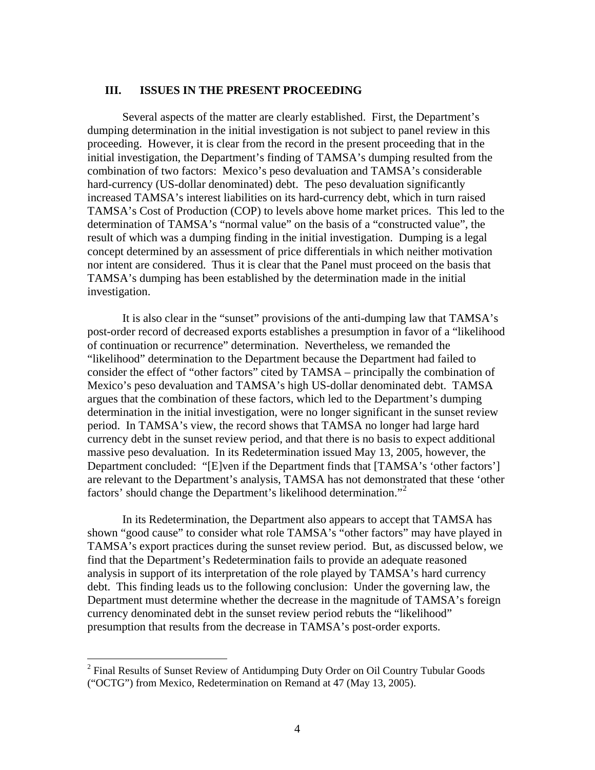# **III. ISSUES IN THE PRESENT PROCEEDING**

Several aspects of the matter are clearly established. First, the Department's dumping determination in the initial investigation is not subject to panel review in this proceeding. However, it is clear from the record in the present proceeding that in the initial investigation, the Department's finding of TAMSA's dumping resulted from the combination of two factors: Mexico's peso devaluation and TAMSA's considerable hard-currency (US-dollar denominated) debt. The peso devaluation significantly increased TAMSA's interest liabilities on its hard-currency debt, which in turn raised TAMSA's Cost of Production (COP) to levels above home market prices. This led to the determination of TAMSA's "normal value" on the basis of a "constructed value", the result of which was a dumping finding in the initial investigation. Dumping is a legal concept determined by an assessment of price differentials in which neither motivation nor intent are considered. Thus it is clear that the Panel must proceed on the basis that TAMSA's dumping has been established by the determination made in the initial investigation.

It is also clear in the "sunset" provisions of the anti-dumping law that TAMSA's post-order record of decreased exports establishes a presumption in favor of a "likelihood of continuation or recurrence" determination. Nevertheless, we remanded the "likelihood" determination to the Department because the Department had failed to consider the effect of "other factors" cited by TAMSA – principally the combination of Mexico's peso devaluation and TAMSA's high US-dollar denominated debt. TAMSA argues that the combination of these factors, which led to the Department's dumping determination in the initial investigation, were no longer significant in the sunset review period. In TAMSA's view, the record shows that TAMSA no longer had large hard currency debt in the sunset review period, and that there is no basis to expect additional massive peso devaluation. In its Redetermination issued May 13, 2005, however, the Department concluded: "[E]ven if the Department finds that [TAMSA's 'other factors'] are relevant to the Department's analysis, TAMSA has not demonstrated that these 'other factors' should change the Department's likelihood determination."<sup>[2](#page-3-0)</sup>

In its Redetermination, the Department also appears to accept that TAMSA has shown "good cause" to consider what role TAMSA's "other factors" may have played in TAMSA's export practices during the sunset review period. But, as discussed below, we find that the Department's Redetermination fails to provide an adequate reasoned analysis in support of its interpretation of the role played by TAMSA's hard currency debt. This finding leads us to the following conclusion: Under the governing law, the Department must determine whether the decrease in the magnitude of TAMSA's foreign currency denominated debt in the sunset review period rebuts the "likelihood" presumption that results from the decrease in TAMSA's post-order exports.

<span id="page-3-0"></span><sup>&</sup>lt;sup>2</sup> Final Results of Sunset Review of Antidumping Duty Order on Oil Country Tubular Goods ("OCTG") from Mexico, Redetermination on Remand at 47 (May 13, 2005).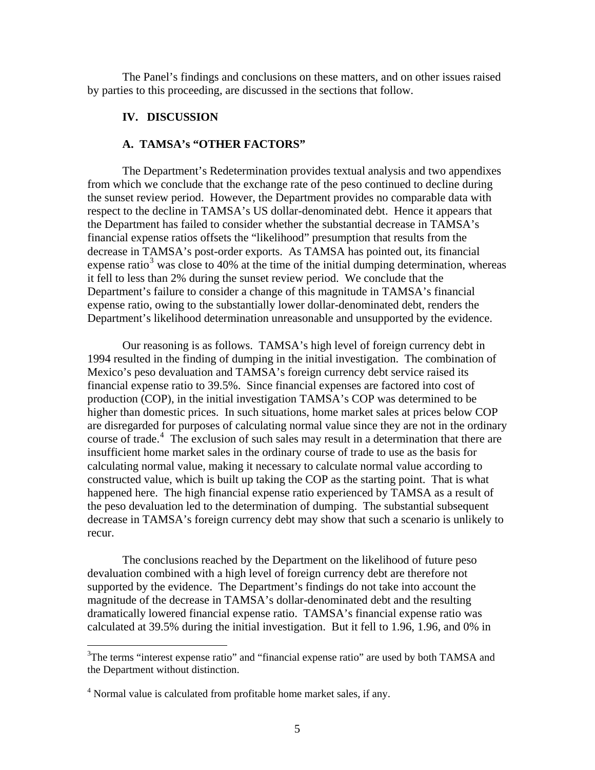The Panel's findings and conclusions on these matters, and on other issues raised by parties to this proceeding, are discussed in the sections that follow.

# **IV. DISCUSSION**

# **A. TAMSA's "OTHER FACTORS"**

The Department's Redetermination provides textual analysis and two appendixes from which we conclude that the exchange rate of the peso continued to decline during the sunset review period. However, the Department provides no comparable data with respect to the decline in TAMSA's US dollar-denominated debt. Hence it appears that the Department has failed to consider whether the substantial decrease in TAMSA's financial expense ratios offsets the "likelihood" presumption that results from the decrease in TAMSA's post-order exports. As TAMSA has pointed out, its financial expense ratio<sup>[3](#page-4-0)</sup> was close to 40% at the time of the initial dumping determination, whereas it fell to less than 2% during the sunset review period. We conclude that the Department's failure to consider a change of this magnitude in TAMSA's financial expense ratio, owing to the substantially lower dollar-denominated debt, renders the Department's likelihood determination unreasonable and unsupported by the evidence.

Our reasoning is as follows. TAMSA's high level of foreign currency debt in 1994 resulted in the finding of dumping in the initial investigation. The combination of Mexico's peso devaluation and TAMSA's foreign currency debt service raised its financial expense ratio to 39.5%. Since financial expenses are factored into cost of production (COP), in the initial investigation TAMSA's COP was determined to be higher than domestic prices. In such situations, home market sales at prices below COP are disregarded for purposes of calculating normal value since they are not in the ordinary course of trade.<sup>[4](#page-4-1)</sup> The exclusion of such sales may result in a determination that there are insufficient home market sales in the ordinary course of trade to use as the basis for calculating normal value, making it necessary to calculate normal value according to constructed value, which is built up taking the COP as the starting point. That is what happened here. The high financial expense ratio experienced by TAMSA as a result of the peso devaluation led to the determination of dumping. The substantial subsequent decrease in TAMSA's foreign currency debt may show that such a scenario is unlikely to recur.

The conclusions reached by the Department on the likelihood of future peso devaluation combined with a high level of foreign currency debt are therefore not supported by the evidence. The Department's findings do not take into account the magnitude of the decrease in TAMSA's dollar-denominated debt and the resulting dramatically lowered financial expense ratio. TAMSA's financial expense ratio was calculated at 39.5% during the initial investigation. But it fell to 1.96, 1.96, and 0% in

<span id="page-4-0"></span><sup>&</sup>lt;sup>3</sup>The terms "interest expense ratio" and "financial expense ratio" are used by both TAMSA and the Department without distinction.

<span id="page-4-1"></span><sup>&</sup>lt;sup>4</sup> Normal value is calculated from profitable home market sales, if any.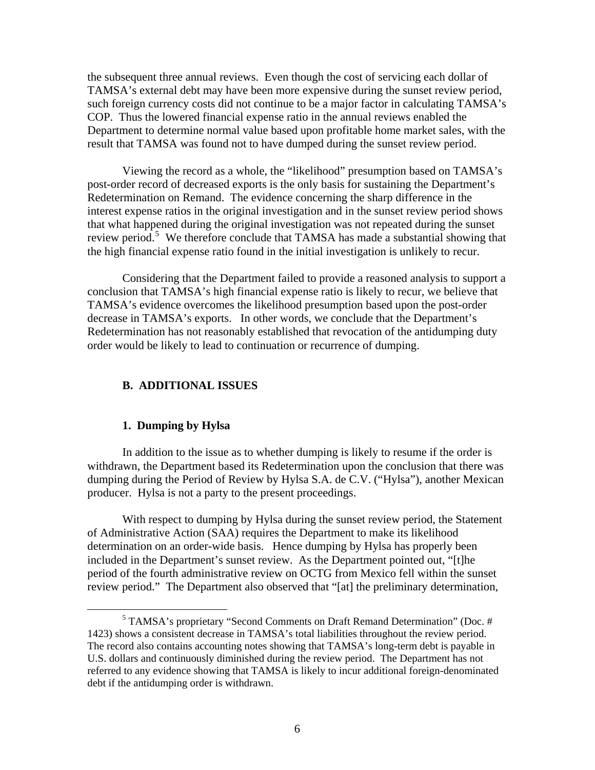the subsequent three annual reviews. Even though the cost of servicing each dollar of TAMSA's external debt may have been more expensive during the sunset review period, such foreign currency costs did not continue to be a major factor in calculating TAMSA's COP. Thus the lowered financial expense ratio in the annual reviews enabled the Department to determine normal value based upon profitable home market sales, with the result that TAMSA was found not to have dumped during the sunset review period.

Viewing the record as a whole, the "likelihood" presumption based on TAMSA's post-order record of decreased exports is the only basis for sustaining the Department's Redetermination on Remand. The evidence concerning the sharp difference in the interest expense ratios in the original investigation and in the sunset review period shows that what happened during the original investigation was not repeated during the sunset review period.<sup>[5](#page-5-0)</sup> We therefore conclude that TAMSA has made a substantial showing that the high financial expense ratio found in the initial investigation is unlikely to recur.

Considering that the Department failed to provide a reasoned analysis to support a conclusion that TAMSA's high financial expense ratio is likely to recur, we believe that TAMSA's evidence overcomes the likelihood presumption based upon the post-order decrease in TAMSA's exports. In other words, we conclude that the Department's Redetermination has not reasonably established that revocation of the antidumping duty order would be likely to lead to continuation or recurrence of dumping.

# **B. ADDITIONAL ISSUES**

#### **1. Dumping by Hylsa**

In addition to the issue as to whether dumping is likely to resume if the order is withdrawn, the Department based its Redetermination upon the conclusion that there was dumping during the Period of Review by Hylsa S.A. de C.V. ("Hylsa"), another Mexican producer. Hylsa is not a party to the present proceedings.

With respect to dumping by Hylsa during the sunset review period, the Statement of Administrative Action (SAA) requires the Department to make its likelihood determination on an order-wide basis. Hence dumping by Hylsa has properly been included in the Department's sunset review. As the Department pointed out, "[t]he period of the fourth administrative review on OCTG from Mexico fell within the sunset review period." The Department also observed that "[at] the preliminary determination,

<span id="page-5-0"></span> $rac{1}{5}$  TAMSA's proprietary "Second Comments on Draft Remand Determination" (Doc. # 1423) shows a consistent decrease in TAMSA's total liabilities throughout the review period. The record also contains accounting notes showing that TAMSA's long-term debt is payable in U.S. dollars and continuously diminished during the review period. The Department has not referred to any evidence showing that TAMSA is likely to incur additional foreign-denominated debt if the antidumping order is withdrawn.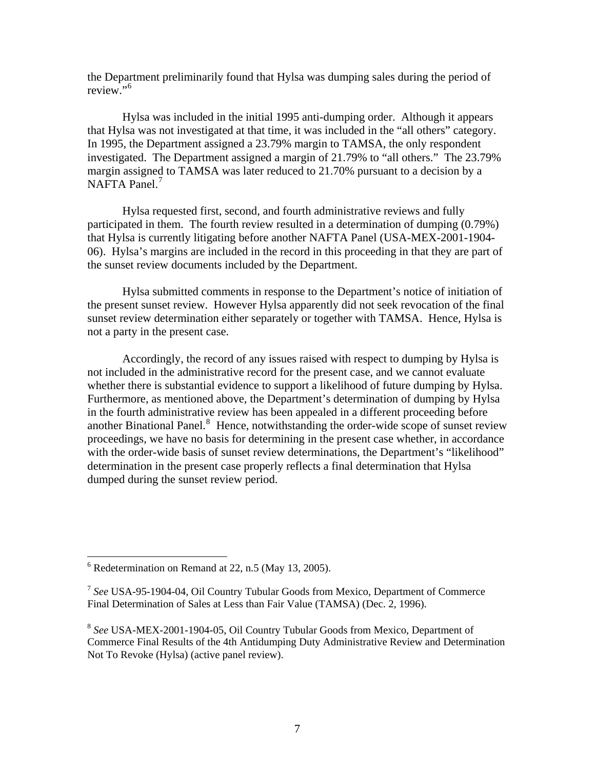the Department preliminarily found that Hylsa was dumping sales during the period of review."<sup>[6](#page-6-0)</sup>

Hylsa was included in the initial 1995 anti-dumping order. Although it appears that Hylsa was not investigated at that time, it was included in the "all others" category. In 1995, the Department assigned a 23.79% margin to TAMSA, the only respondent investigated. The Department assigned a margin of 21.79% to "all others." The 23.79% margin assigned to TAMSA was later reduced to 21.70% pursuant to a decision by a NAFTA Panel.<sup>[7](#page-6-1)</sup>

Hylsa requested first, second, and fourth administrative reviews and fully participated in them. The fourth review resulted in a determination of dumping (0.79%) that Hylsa is currently litigating before another NAFTA Panel (USA-MEX-2001-1904- 06). Hylsa's margins are included in the record in this proceeding in that they are part of the sunset review documents included by the Department.

Hylsa submitted comments in response to the Department's notice of initiation of the present sunset review. However Hylsa apparently did not seek revocation of the final sunset review determination either separately or together with TAMSA. Hence, Hylsa is not a party in the present case.

Accordingly, the record of any issues raised with respect to dumping by Hylsa is not included in the administrative record for the present case, and we cannot evaluate whether there is substantial evidence to support a likelihood of future dumping by Hylsa. Furthermore, as mentioned above, the Department's determination of dumping by Hylsa in the fourth administrative review has been appealed in a different proceeding before another Binational Panel.<sup>[8](#page-6-2)</sup> Hence, notwithstanding the order-wide scope of sunset review proceedings, we have no basis for determining in the present case whether, in accordance with the order-wide basis of sunset review determinations, the Department's "likelihood" determination in the present case properly reflects a final determination that Hylsa dumped during the sunset review period.

<span id="page-6-0"></span> $6$  Redetermination on Remand at 22, n.5 (May 13, 2005).

<span id="page-6-1"></span><sup>7</sup> *See* USA-95-1904-04, Oil Country Tubular Goods from Mexico, Department of Commerce Final Determination of Sales at Less than Fair Value (TAMSA) (Dec. 2, 1996).

<span id="page-6-2"></span><sup>8</sup> *See* USA-MEX-2001-1904-05, Oil Country Tubular Goods from Mexico, Department of Commerce Final Results of the 4th Antidumping Duty Administrative Review and Determination Not To Revoke (Hylsa) (active panel review).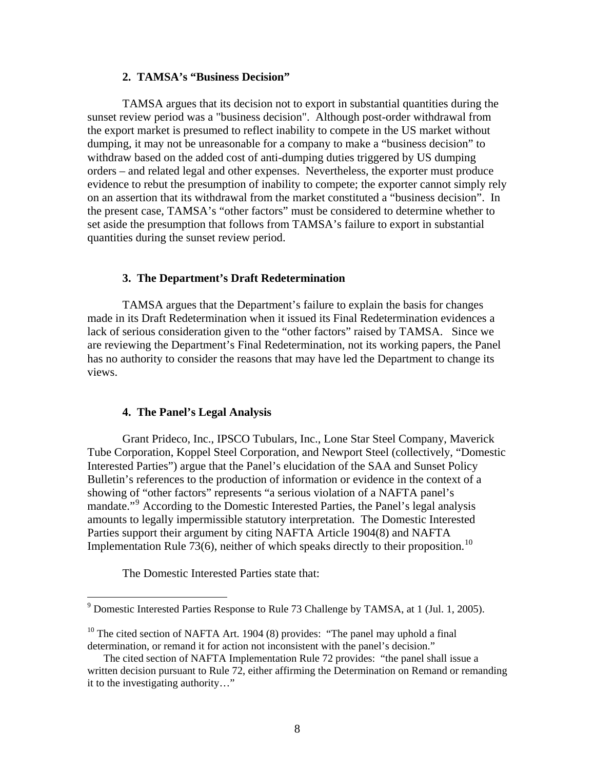## **2. TAMSA's "Business Decision"**

TAMSA argues that its decision not to export in substantial quantities during the sunset review period was a "business decision". Although post-order withdrawal from the export market is presumed to reflect inability to compete in the US market without dumping, it may not be unreasonable for a company to make a "business decision" to withdraw based on the added cost of anti-dumping duties triggered by US dumping orders – and related legal and other expenses. Nevertheless, the exporter must produce evidence to rebut the presumption of inability to compete; the exporter cannot simply rely on an assertion that its withdrawal from the market constituted a "business decision". In the present case, TAMSA's "other factors" must be considered to determine whether to set aside the presumption that follows from TAMSA's failure to export in substantial quantities during the sunset review period.

# **3. The Department's Draft Redetermination**

TAMSA argues that the Department's failure to explain the basis for changes made in its Draft Redetermination when it issued its Final Redetermination evidences a lack of serious consideration given to the "other factors" raised by TAMSA. Since we are reviewing the Department's Final Redetermination, not its working papers, the Panel has no authority to consider the reasons that may have led the Department to change its views.

# **4. The Panel's Legal Analysis**

Grant Prideco, Inc., IPSCO Tubulars, Inc., Lone Star Steel Company, Maverick Tube Corporation, Koppel Steel Corporation, and Newport Steel (collectively, "Domestic Interested Parties") argue that the Panel's elucidation of the SAA and Sunset Policy Bulletin's references to the production of information or evidence in the context of a showing of "other factors" represents "a serious violation of a NAFTA panel's mandate."[9](#page-7-0) According to the Domestic Interested Parties, the Panel's legal analysis amounts to legally impermissible statutory interpretation. The Domestic Interested Parties support their argument by citing NAFTA Article 1904(8) and NAFTA Implementation Rule  $73(6)$ , neither of which speaks directly to their proposition.<sup>[10](#page-7-1)</sup>

The Domestic Interested Parties state that:

<span id="page-7-0"></span> 9 Domestic Interested Parties Response to Rule 73 Challenge by TAMSA, at 1 (Jul. 1, 2005).

<span id="page-7-1"></span><sup>&</sup>lt;sup>10</sup> The cited section of NAFTA Art. 1904 (8) provides: "The panel may uphold a final determination, or remand it for action not inconsistent with the panel's decision."

The cited section of NAFTA Implementation Rule 72 provides: "the panel shall issue a written decision pursuant to Rule 72, either affirming the Determination on Remand or remanding it to the investigating authority…"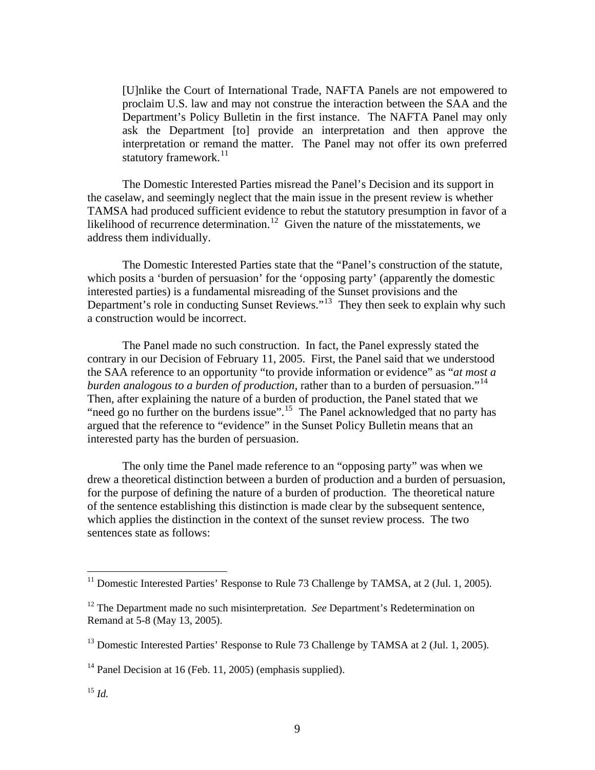[U]nlike the Court of International Trade, NAFTA Panels are not empowered to proclaim U.S. law and may not construe the interaction between the SAA and the Department's Policy Bulletin in the first instance. The NAFTA Panel may only ask the Department [to] provide an interpretation and then approve the interpretation or remand the matter. The Panel may not offer its own preferred statutory framework. $^{11}$  $^{11}$  $^{11}$ 

The Domestic Interested Parties misread the Panel's Decision and its support in the caselaw, and seemingly neglect that the main issue in the present review is whether TAMSA had produced sufficient evidence to rebut the statutory presumption in favor of a likelihood of recurrence determination.<sup>12</sup> Given the nature of the misstatements, we address them individually.

 The Domestic Interested Parties state that the "Panel's construction of the statute, which posits a 'burden of persuasion' for the 'opposing party' (apparently the domestic interested parties) is a fundamental misreading of the Sunset provisions and the Department's role in conducting Sunset Reviews."<sup>[13](#page-8-2)</sup> They then seek to explain why such a construction would be incorrect.

 The Panel made no such construction. In fact, the Panel expressly stated the contrary in our Decision of February 11, 2005. First, the Panel said that we understood the SAA reference to an opportunity "to provide information or evidence" as "*at most a burden analogous to a burden of production,* rather than to a burden of persuasion."<sup>[14](#page-8-3)</sup> Then, after explaining the nature of a burden of production, the Panel stated that we "need go no further on the burdens issue".<sup>[15](#page-8-4)</sup> The Panel acknowledged that no party has argued that the reference to "evidence" in the Sunset Policy Bulletin means that an interested party has the burden of persuasion.

The only time the Panel made reference to an "opposing party" was when we drew a theoretical distinction between a burden of production and a burden of persuasion, for the purpose of defining the nature of a burden of production. The theoretical nature of the sentence establishing this distinction is made clear by the subsequent sentence, which applies the distinction in the context of the sunset review process. The two sentences state as follows:

<span id="page-8-0"></span><sup>&</sup>lt;sup>11</sup> Domestic Interested Parties' Response to Rule 73 Challenge by TAMSA, at 2 (Jul. 1, 2005).

<span id="page-8-1"></span><sup>&</sup>lt;sup>12</sup> The Department made no such misinterpretation. *See* Department's Redetermination on Remand at 5-8 (May 13, 2005).

<span id="page-8-2"></span><sup>&</sup>lt;sup>13</sup> Domestic Interested Parties' Response to Rule 73 Challenge by TAMSA at 2 (Jul. 1, 2005).

<span id="page-8-4"></span><span id="page-8-3"></span><sup>&</sup>lt;sup>14</sup> Panel Decision at 16 (Feb. 11, 2005) (emphasis supplied).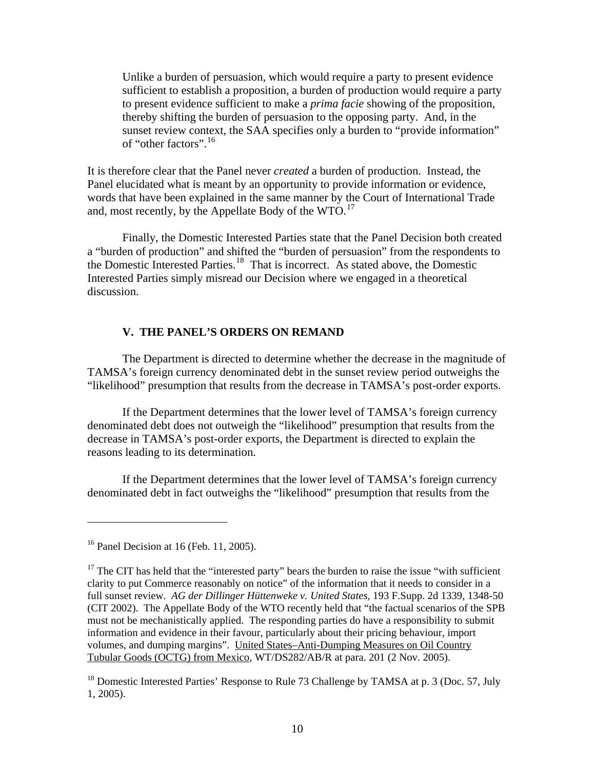Unlike a burden of persuasion, which would require a party to present evidence sufficient to establish a proposition, a burden of production would require a party to present evidence sufficient to make a *prima facie* showing of the proposition, thereby shifting the burden of persuasion to the opposing party. And, in the sunset review context, the SAA specifies only a burden to "provide information" of "other factors".[16](#page-9-0)

It is therefore clear that the Panel never *created* a burden of production. Instead, the Panel elucidated what is meant by an opportunity to provide information or evidence, words that have been explained in the same manner by the Court of International Trade and, most recently, by the Appellate Body of the  $WTO$ .<sup>[17](#page-9-1)</sup>

 Finally, the Domestic Interested Parties state that the Panel Decision both created a "burden of production" and shifted the "burden of persuasion" from the respondents to the Domestic Interested Parties.[18](#page-9-2) That is incorrect. As stated above, the Domestic Interested Parties simply misread our Decision where we engaged in a theoretical discussion.

# **V. THE PANEL'S ORDERS ON REMAND**

The Department is directed to determine whether the decrease in the magnitude of TAMSA's foreign currency denominated debt in the sunset review period outweighs the "likelihood" presumption that results from the decrease in TAMSA's post-order exports.

If the Department determines that the lower level of TAMSA's foreign currency denominated debt does not outweigh the "likelihood" presumption that results from the decrease in TAMSA's post-order exports, the Department is directed to explain the reasons leading to its determination.

If the Department determines that the lower level of TAMSA's foreign currency denominated debt in fact outweighs the "likelihood" presumption that results from the

<span id="page-9-0"></span> $16$  Panel Decision at 16 (Feb. 11, 2005).

<span id="page-9-1"></span> $17$  The CIT has held that the "interested party" bears the burden to raise the issue "with sufficient clarity to put Commerce reasonably on notice" of the information that it needs to consider in a full sunset review. *AG der Dillinger Hüttenweke v. United States*, 193 F.Supp. 2d 1339, 1348-50 (CIT 2002). The Appellate Body of the WTO recently held that "the factual scenarios of the SPB must not be mechanistically applied. The responding parties do have a responsibility to submit information and evidence in their favour, particularly about their pricing behaviour, import volumes, and dumping margins". United States–Anti-Dumping Measures on Oil Country Tubular Goods (OCTG) from Mexico, WT/DS282/AB/R at para. 201 (2 Nov. 2005).

<span id="page-9-2"></span><sup>&</sup>lt;sup>18</sup> Domestic Interested Parties' Response to Rule 73 Challenge by TAMSA at p. 3 (Doc. 57, July 1, 2005).